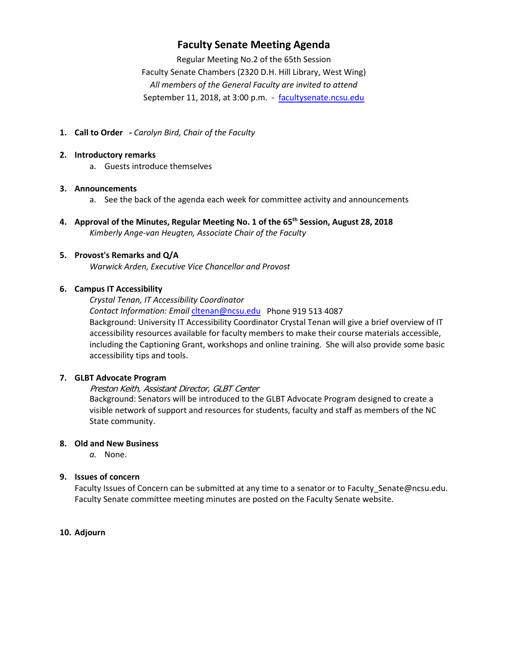## **Faculty Senate Meeting Agenda**

Regular Meeting No.2 of the 65th Session Faculty Senate Chambers (2320 D.H. Hill Library, West Wing) *All members of the General Faculty are invited to attend* September 11, 2018, at 3:00 p.m. - [facultysenate.ncsu.edu](https://facultysenate.ncsu.edu/)

**1. Call to Order -** *Carolyn Bird, Chair of the Faculty*

#### **2. Introductory remarks**

a. Guests introduce themselves

#### **3. Announcements**

- a. See the back of the agenda each week for committee activity and announcements
- **4. Approval of the Minutes, Regular Meeting No. 1 of the 65th Session, August 28, 2018** *Kimberly Ange-van Heugten, Associate Chair of the Faculty*

## **5. Provost's Remarks and Q/A**

*Warwick Arden, Executive Vice Chancellor and Provost*

#### **6. Campus IT Accessibility**

*Crystal Tenan, IT Accessibility Coordinator*

*Contact Information: Email* [cltenan@ncsu.edu](mailto:cltenan@ncsu.edu) Phone 919 513 4087 Background: University IT Accessibility Coordinator Crystal Tenan will give a brief overview of IT accessibility resources available for faculty members to make their course materials accessible, including the Captioning Grant, workshops and online training. She will also provide some basic accessibility tips and tools.

#### **7. GLBT Advocate Program**

Preston Keith, Assistant Director, GLBT Center

Background: Senators will be introduced to the GLBT Advocate Program designed to create a visible network of support and resources for students, faculty and staff as members of the NC State community.

#### **8. Old and New Business**

*a.* None.

#### **9. Issues of concern**

Faculty Issues of Concern can be submitted at any time to a senator or to Faculty Senate@ncsu.edu. Faculty Senate committee meeting minutes are posted on the Faculty Senate website.

## **10. Adjourn**